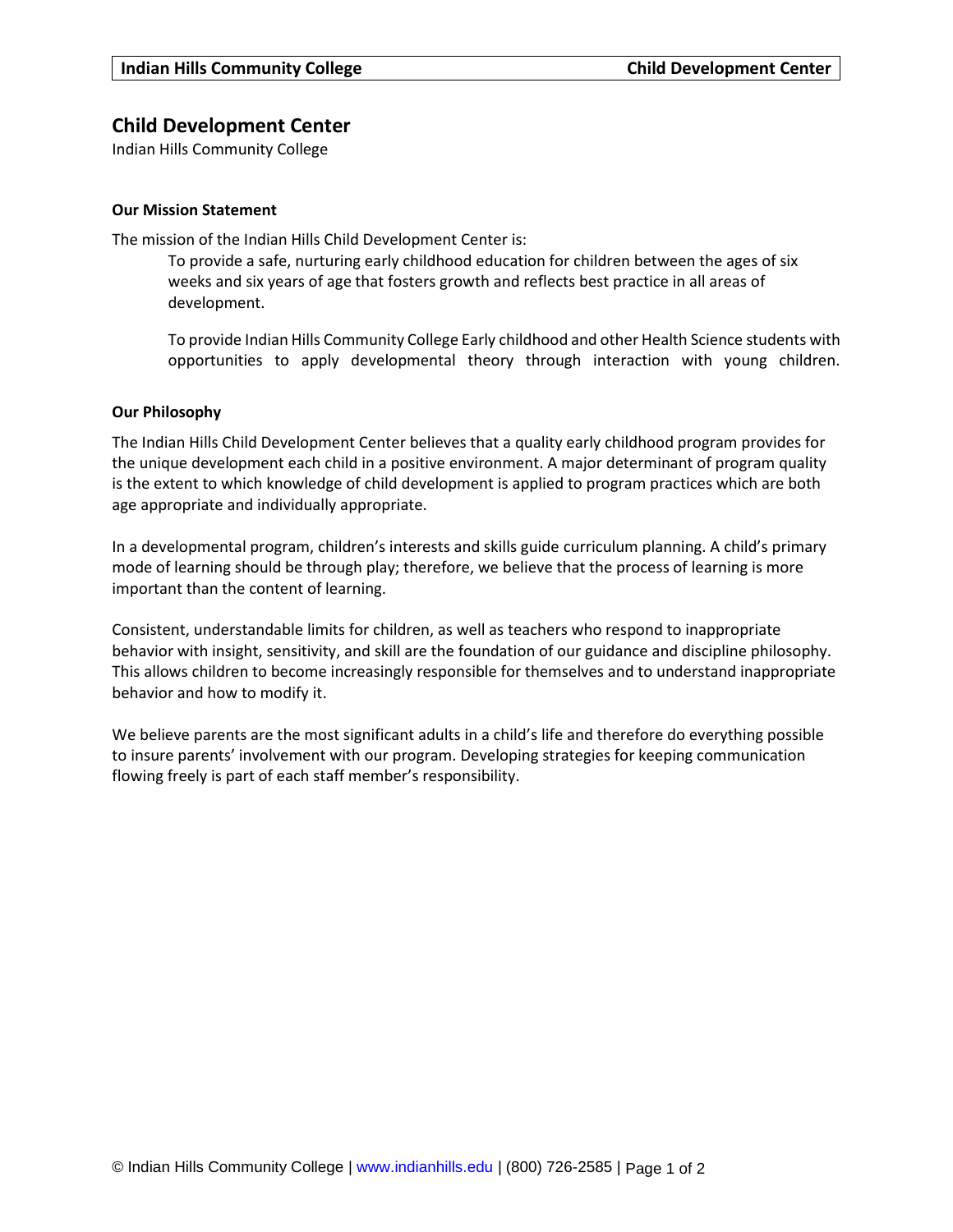# **Child Development Center**

Indian Hills Community College

# **Our Mission Statement**

The mission of the Indian Hills Child Development Center is:

To provide a safe, nurturing early childhood education for children between the ages of six weeks and six years of age that fosters growth and reflects best practice in all areas of development.

To provide Indian Hills Community College Early childhood and other Health Science students with opportunities to apply developmental theory through interaction with young children.

### **Our Philosophy**

The Indian Hills Child Development Center believes that a quality early childhood program provides for the unique development each child in a positive environment. A major determinant of program quality is the extent to which knowledge of child development is applied to program practices which are both age appropriate and individually appropriate.

In a developmental program, children's interests and skills guide curriculum planning. A child's primary mode of learning should be through play; therefore, we believe that the process of learning is more important than the content of learning.

Consistent, understandable limits for children, as well as teachers who respond to inappropriate behavior with insight, sensitivity, and skill are the foundation of our guidance and discipline philosophy. This allows children to become increasingly responsible for themselves and to understand inappropriate behavior and how to modify it.

We believe parents are the most significant adults in a child's life and therefore do everything possible to insure parents' involvement with our program. Developing strategies for keeping communication flowing freely is part of each staff member's responsibility.